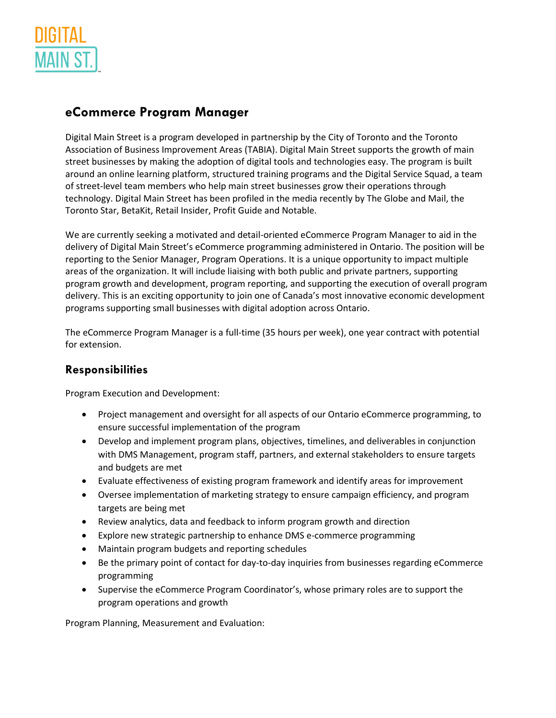

## **eCommerce Program Manager**

Digital Main Street is a program developed in partnership by the City of Toronto and the Toronto Association of Business Improvement Areas (TABIA). Digital Main Street supports the growth of main street businesses by making the adoption of digital tools and technologies easy. The program is built around an online learning platform, structured training programs and the Digital Service Squad, a team of street-level team members who help main street businesses grow their operations through technology. Digital Main Street has been profiled in the media recently by The Globe and Mail, the Toronto Star, BetaKit, Retail Insider, Profit Guide and Notable.

We are currently seeking a motivated and detail-oriented eCommerce Program Manager to aid in the delivery of Digital Main Street's eCommerce programming administered in Ontario. The position will be reporting to the Senior Manager, Program Operations. It is a unique opportunity to impact multiple areas of the organization. It will include liaising with both public and private partners, supporting program growth and development, program reporting, and supporting the execution of overall program delivery. This is an exciting opportunity to join one of Canada's most innovative economic development programs supporting small businesses with digital adoption across Ontario.

The eCommerce Program Manager is a full-time (35 hours per week), one year contract with potential for extension.

## **Responsibilities**

Program Execution and Development:

- Project management and oversight for all aspects of our Ontario eCommerce programming, to ensure successful implementation of the program
- Develop and implement program plans, objectives, timelines, and deliverables in conjunction with DMS Management, program staff, partners, and external stakeholders to ensure targets and budgets are met
- Evaluate effectiveness of existing program framework and identify areas for improvement
- Oversee implementation of marketing strategy to ensure campaign efficiency, and program targets are being met
- Review analytics, data and feedback to inform program growth and direction
- Explore new strategic partnership to enhance DMS e-commerce programming
- Maintain program budgets and reporting schedules
- Be the primary point of contact for day-to-day inquiries from businesses regarding eCommerce programming
- Supervise the eCommerce Program Coordinator's, whose primary roles are to support the program operations and growth

Program Planning, Measurement and Evaluation: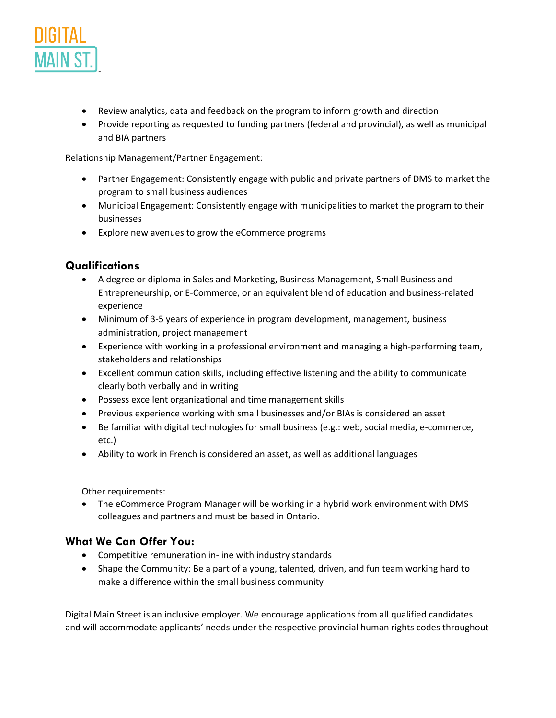

- Review analytics, data and feedback on the program to inform growth and direction
- Provide reporting as requested to funding partners (federal and provincial), as well as municipal and BIA partners

Relationship Management/Partner Engagement:

- Partner Engagement: Consistently engage with public and private partners of DMS to market the program to small business audiences
- Municipal Engagement: Consistently engage with municipalities to market the program to their businesses
- Explore new avenues to grow the eCommerce programs

## **Qualifications**

- A degree or diploma in Sales and Marketing, Business Management, Small Business and Entrepreneurship, or E-Commerce, or an equivalent blend of education and business-related experience
- Minimum of 3-5 years of experience in program development, management, business administration, project management
- Experience with working in a professional environment and managing a high-performing team, stakeholders and relationships
- Excellent communication skills, including effective listening and the ability to communicate clearly both verbally and in writing
- Possess excellent organizational and time management skills
- Previous experience working with small businesses and/or BIAs is considered an asset
- Be familiar with digital technologies for small business (e.g.: web, social media, e-commerce, etc.)
- Ability to work in French is considered an asset, as well as additional languages

Other requirements:

• The eCommerce Program Manager will be working in a hybrid work environment with DMS colleagues and partners and must be based in Ontario.

## **What We Can Offer You:**

- Competitive remuneration in-line with industry standards
- Shape the Community: Be a part of a young, talented, driven, and fun team working hard to make a difference within the small business community

Digital Main Street is an inclusive employer. We encourage applications from all qualified candidates and will accommodate applicants' needs under the respective provincial human rights codes throughout